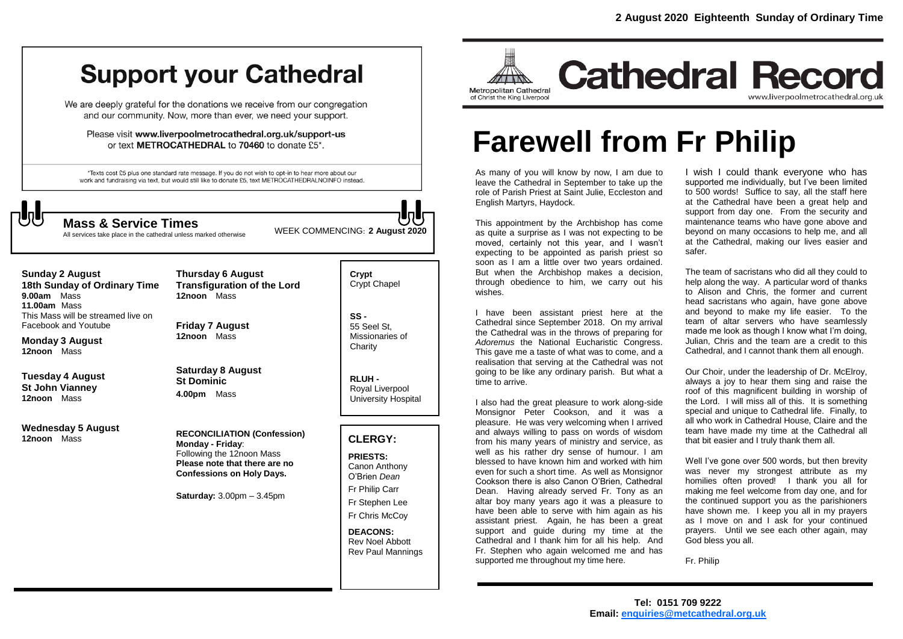## **Support your Cathedral**

We are deeply grateful for the donations we receive from our congregation and our community. Now, more than ever, we need your support.

Please visit www.liverpoolmetrocathedral.org.uk/support-us or text METROCATHEDRAL to 70460 to donate £5\*.

\*Texts cost £5 plus one standard rate message. If you do not wish to opt-in to hear more about our work and fundraising via text, but would still like to donate £5, text METROCATHEDRALNOINFO instead.



All services take place in the cathedral unless marked otherwise

WEEK COMMENCING: **2 August <sup>2020</sup> Mass & Service Times**

#### **Sunday 2 August**

**18th Sunday of Ordinary Time 9.00am** Mass **11.00am** Mass This Mass will be streamed live on Facebook and Youtube

**Monday 3 August 12noon** Mass

**Tuesday 4 August St John Vianney 12noon** Mass

**Wednesday 5 August 12noon** Mass

**Thursday 6 August Transfiguration of the Lord 12noon** Mass

**Friday 7 August 12noon** Mass

**Saturday 8 August St Dominic 4.00pm** Mass

**RECONCILIATION (Confession) Monday - Friday**: Following the 12noon Mass **Please note that there are no Confessions on Holy Days.**

**Saturday:** 3.00pm – 3.45pm

**Crypt**  Crypt Chapel

**SS -** 55 Seel St, Missionaries of **Charity** 

**RLUH -** Royal Liverpool University Hospital

#### **CLERGY:**

**PRIESTS:** Canon Anthony O'Brien *Dean* Fr Philip Carr Fr Stephen Lee

Fr Chris McCoy

**DEACONS:** Rev Noel Abbott Rev Paul Mannings



**Cathedral Record** www.liverpoolmetrocathedral.org.uk

# **Farewell from Fr Philip**

As many of you will know by now, I am due to leave the Cathedral in September to take up the role of Parish Priest at Saint Julie, Eccleston and English Martyrs, Haydock.

This appointment by the Archbishop has come as quite a surprise as I was not expecting to be moved, certainly not this year, and I wasn't expecting to be appointed as parish priest so soon as I am a little over two years ordained. But when the Archbishop makes a decision, through obedience to him, we carry out his wishes.

I have been assistant priest here at the Cathedral since September 2018. On my arrival the Cathedral was in the throws of preparing for *Adoremus* the National Eucharistic Congress. This gave me a taste of what was to come, and a realisation that serving at the Cathedral was not going to be like any ordinary parish. But what a time to arrive.

I also had the great pleasure to work along-side Monsignor Peter Cookson, and it was a pleasure. He was very welcoming when I arrived and always willing to pass on words of wisdom from his many years of ministry and service, as well as his rather dry sense of humour. I am blessed to have known him and worked with him even for such a short time. As well as Monsignor Cookson there is also Canon O'Brien, Cathedral Dean. Having already served Fr. Tony as an altar boy many years ago it was a pleasure to have been able to serve with him again as his assistant priest. Again, he has been a great support and guide during my time at the Cathedral and I thank him for all his help. And Fr. Stephen who again welcomed me and has supported me throughout my time here.

I wish I could thank everyone who has supported me individually, but I've been limited to 500 words! Suffice to say, all the staff here at the Cathedral have been a great help and support from day one. From the security and maintenance teams who have gone above and beyond on many occasions to help me, and all at the Cathedral, making our lives easier and safer.

The team of sacristans who did all they could to help along the way. A particular word of thanks to Alison and Chris, the former and current head sacristans who again, have gone above and beyond to make my life easier. To the team of altar servers who have seamlessly made me look as though I know what I'm doing, Julian, Chris and the team are a credit to this Cathedral, and I cannot thank them all enough.

Our Choir, under the leadership of Dr. McElroy, always a joy to hear them sing and raise the roof of this magnificent building in worship of the Lord. I will miss all of this. It is something special and unique to Cathedral life. Finally, to all who work in Cathedral House, Claire and the team have made my time at the Cathedral all that bit easier and I truly thank them all.

Well I've gone over 500 words, but then brevity was never my strongest attribute as my homilies often proved! I thank you all for making me feel welcome from day one, and for the continued support you as the parishioners have shown me. I keep you all in my prayers as I move on and I ask for your continued prayers. Until we see each other again, may God bless you all.

Fr. Philip